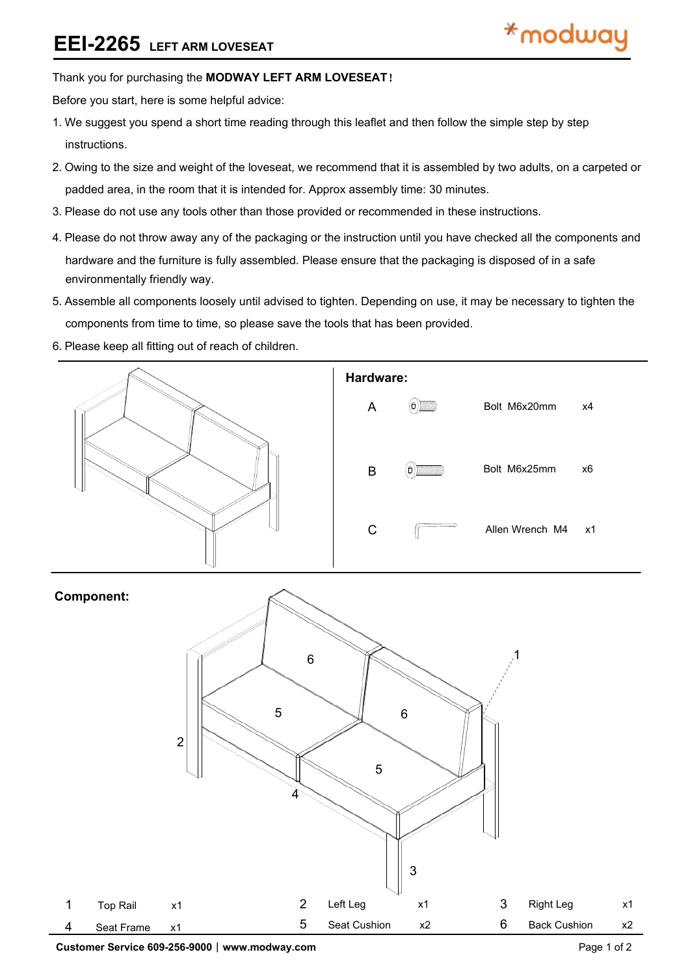# **EEI-2265 LEFT ARM LOVESEAT**

### Thank you for purchasing the **MODWAY LEFT ARM LOVESEAT**!

Before you start, here is some helpful advice:

- 1.We suggest you spend a short time reading through this leaflet and then follow the simple step by step instructions.
- 2.Owing to the size and weight of the loveseat, we recommend that it is assembled by two adults, on a carpeted or padded area, in the room that it is intended for. Approx assembly time: 30 minutes.
- 3.Please do not use any tools other than those provided or recommended in these instructions.
- 4.Please do not throw away any of the packaging or the instruction until you have checked all the components and hardware and the furniture is fully assembled. Please ensure that the packaging is disposed of in a safe environmentally friendly way.
- 5.Assemble all components loosely until advised to tighten. Depending on use, it may be necessary to tighten the components from time to time, so please save the tools that has been provided.
- 6.Please keep all fitting out of reach of children.





**Customer Service 609-256-9000**︱**www.modway.com** Page 1 of 2